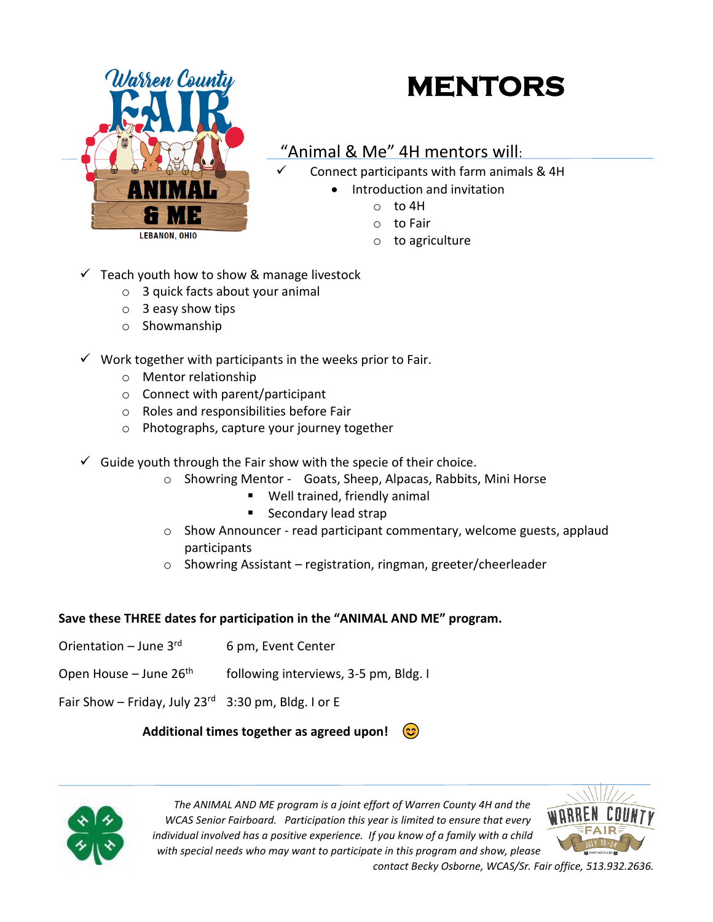

## **MENTORS**

## "Animal & Me" 4H mentors will:

Connect participants with farm animals & 4H

- Introduction and invitation
	- o to 4H
		- o to Fair
		- o to agriculture
- $\checkmark$  Teach youth how to show & manage livestock
	- o 3 quick facts about your animal
	- $\circ$  3 easy show tips
	- o Showmanship
- $\checkmark$  Work together with participants in the weeks prior to Fair.
	- o Mentor relationship
	- o Connect with parent/participant
	- o Roles and responsibilities before Fair
	- o Photographs, capture your journey together
- $\checkmark$  Guide youth through the Fair show with the specie of their choice.
	- o Showring Mentor Goats, Sheep, Alpacas, Rabbits, Mini Horse
		- Well trained, friendly animal
		- Secondary lead strap
	- o Show Announcer read participant commentary, welcome guests, applaud participants
	- o Showring Assistant registration, ringman, greeter/cheerleader

## **Save these THREE dates for participation in the "ANIMAL AND ME" program.**

- Orientation June  $3<sup>rd</sup>$ 6 pm, Event Center
- Open House June  $26<sup>th</sup>$ following interviews, 3-5 pm, Bldg. I
- Fair Show Friday, July 23 $^{rd}$  3:30 pm, Bldg. I or E

## **Additional times together as agreed upon!**



*The ANIMAL AND ME program is a joint effort of Warren County 4H and the WCAS Senior Fairboard. Participation this year is limited to ensure that every individual involved has a positive experience. If you know of a family with a child with special needs who may want to participate in this program and show, please* 



*contact Becky Osborne, WCAS/Sr. Fair office, 513.932.2636.*